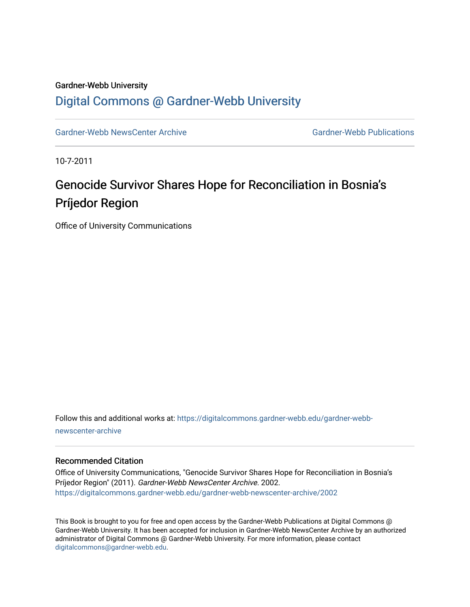### Gardner-Webb University

### [Digital Commons @ Gardner-Webb University](https://digitalcommons.gardner-webb.edu/)

[Gardner-Webb NewsCenter Archive](https://digitalcommons.gardner-webb.edu/gardner-webb-newscenter-archive) Gardner-Webb Publications

10-7-2011

# Genocide Survivor Shares Hope for Reconciliation in Bosnia's Príjedor Region

Office of University Communications

Follow this and additional works at: [https://digitalcommons.gardner-webb.edu/gardner-webb](https://digitalcommons.gardner-webb.edu/gardner-webb-newscenter-archive?utm_source=digitalcommons.gardner-webb.edu%2Fgardner-webb-newscenter-archive%2F2002&utm_medium=PDF&utm_campaign=PDFCoverPages)[newscenter-archive](https://digitalcommons.gardner-webb.edu/gardner-webb-newscenter-archive?utm_source=digitalcommons.gardner-webb.edu%2Fgardner-webb-newscenter-archive%2F2002&utm_medium=PDF&utm_campaign=PDFCoverPages)

#### Recommended Citation

Office of University Communications, "Genocide Survivor Shares Hope for Reconciliation in Bosnia's Príjedor Region" (2011). Gardner-Webb NewsCenter Archive. 2002. [https://digitalcommons.gardner-webb.edu/gardner-webb-newscenter-archive/2002](https://digitalcommons.gardner-webb.edu/gardner-webb-newscenter-archive/2002?utm_source=digitalcommons.gardner-webb.edu%2Fgardner-webb-newscenter-archive%2F2002&utm_medium=PDF&utm_campaign=PDFCoverPages) 

This Book is brought to you for free and open access by the Gardner-Webb Publications at Digital Commons @ Gardner-Webb University. It has been accepted for inclusion in Gardner-Webb NewsCenter Archive by an authorized administrator of Digital Commons @ Gardner-Webb University. For more information, please contact [digitalcommons@gardner-webb.edu](mailto:digitalcommons@gardner-webb.edu).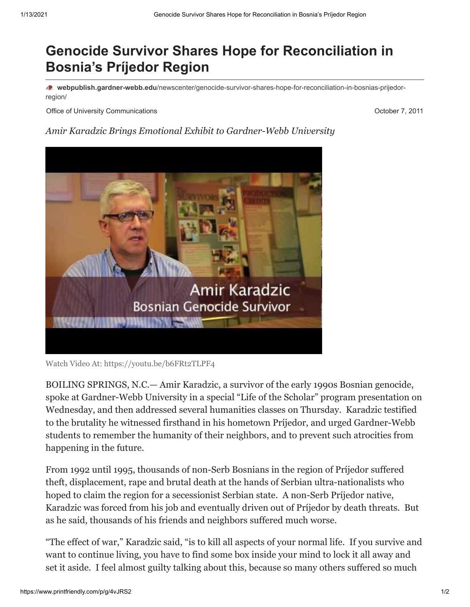## **Genocide Survivor Shares Hope for Reconciliation in Bosnia's Príjedor Region**

**webpublish.gardner-webb.edu**[/newscenter/genocide-survivor-shares-hope-for-reconciliation-in-bosnias-prijedor](https://webpublish.gardner-webb.edu/newscenter/genocide-survivor-shares-hope-for-reconciliation-in-bosnias-prijedor-region/)region/

Office of University Communications **October 7, 2011 October 7, 2011** 

*Amir Karadzic Brings Emotional Exhibit to Gardner-Webb University*



Watch Video [At: https://youtu.be/b6FRt2TLPF4](https://youtu.be/b6FRt2TLPF4)

BOILING SPRINGS, N.C.— Amir Karadzic, a survivor of the early 1990s Bosnian genocide, spoke at Gardner-Webb University in a special "Life of the Scholar" program presentation on Wednesday, and then addressed several humanities classes on Thursday. Karadzic testified to the brutality he witnessed firsthand in his hometown Príjedor, and urged Gardner-Webb students to remember the humanity of their neighbors, and to prevent such atrocities from happening in the future.

From 1992 until 1995, thousands of non-Serb Bosnians in the region of Príjedor suffered theft, displacement, rape and brutal death at the hands of Serbian ultra-nationalists who hoped to claim the region for a secessionist Serbian state. A non-Serb Príjedor native, Karadzic was forced from his job and eventually driven out of Príjedor by death threats. But as he said, thousands of his friends and neighbors suffered much worse.

"The effect of war," Karadzic said, "is to kill all aspects of your normal life. If you survive and want to continue living, you have to find some box inside your mind to lock it all away and set it aside. I feel almost guilty talking about this, because so many others suffered so much